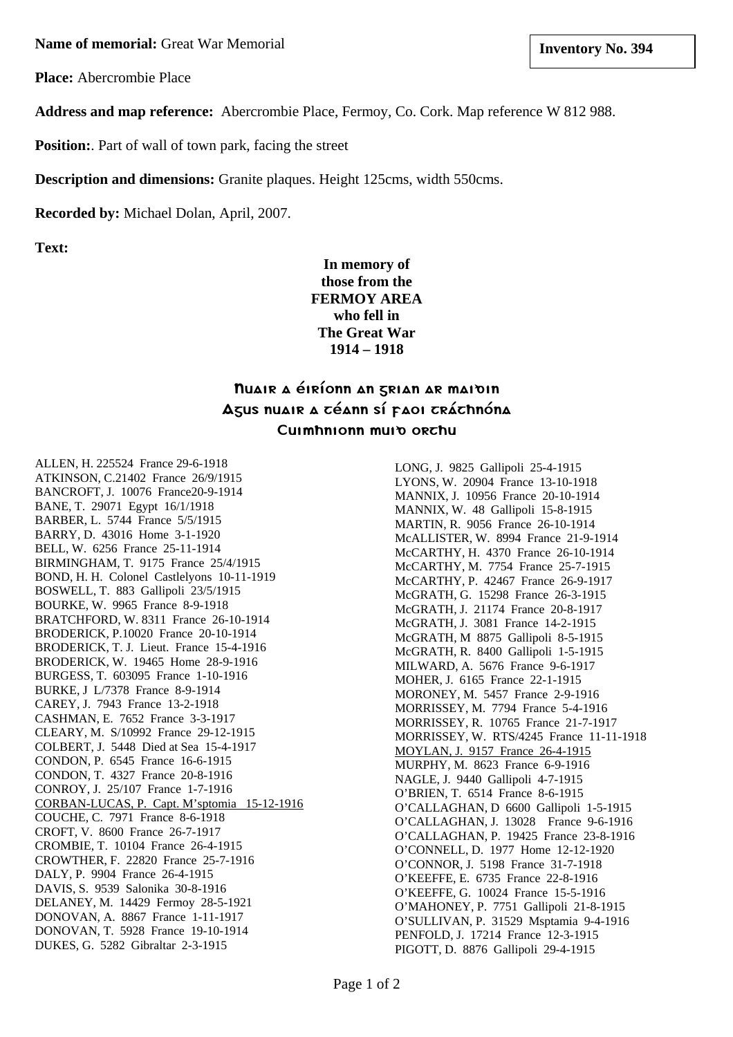**Name of memorial:** Great War Memorial **and Structure 1 and Structure 1 and Structure 1 and Structure 1 and Structure 1 and Structure 1 and Structure 1 and Structure 1 and Structure 1 and Structure 1 and Structure 1 and St** 

**Place:** Abercrombie Place

**Address and map reference:** Abercrombie Place, Fermoy, Co. Cork. Map reference W 812 988.

**Position:** Part of wall of town park, facing the street

**Description and dimensions:** Granite plaques. Height 125cms, width 550cms.

**Recorded by:** Michael Dolan, April, 2007.

**Text:**

**In memory of those from the FERMOY AREA who fell in The Great War 1914 – 1918**

## Nuair a èirìonn an grian ar maidin Agus nuair a céann sí paoi cráchnóna Cuimhnionn muin orchu

ALLEN, H. 225524 France 29-6-1918 ATKINSON, C.21402 France 26/9/1915 BANCROFT, J. 10076 France20-9-1914 BANE, T. 29071 Egypt 16/1/1918 BARBER, L. 5744 France 5/5/1915 BARRY, D. 43016 Home 3-1-1920 BELL, W. 6256 France 25-11-1914 BIRMINGHAM, T. 9175 France 25/4/1915 BOND, H. H. Colonel Castlelyons 10-11-1919 BOSWELL, T. 883 Gallipoli 23/5/1915 BOURKE, W. 9965 France 8-9-1918 BRATCHFORD, W. 8311 France 26-10-1914 BRODERICK, P.10020 France 20-10-1914 BRODERICK, T. J. Lieut. France 15-4-1916 BRODERICK, W. 19465 Home 28-9-1916 BURGESS, T. 603095 France 1-10-1916 BURKE, J L/7378 France 8-9-1914 CAREY, J. 7943 France 13-2-1918 CASHMAN, E. 7652 France 3-3-1917 CLEARY, M. S/10992 France 29-12-1915 COLBERT, J. 5448 Died at Sea 15-4-1917 CONDON, P. 6545 France 16-6-1915 CONDON, T. 4327 France 20-8-1916 CONROY, J. 25/107 France 1-7-1916 CORBAN-LUCAS, P. Capt. M'sptomia 15-12-1916 COUCHE, C. 7971 France 8-6-1918 CROFT, V. 8600 France 26-7-1917 CROMBIE, T. 10104 France 26-4-1915 CROWTHER, F. 22820 France 25-7-1916 DALY, P. 9904 France 26-4-1915 DAVIS, S. 9539 Salonika 30-8-1916 DELANEY, M. 14429 Fermoy 28-5-1921 DONOVAN, A. 8867 France 1-11-1917 DONOVAN, T. 5928 France 19-10-1914 DUKES, G. 5282 Gibraltar 2-3-1915

LONG, J. 9825 Gallipoli 25-4-1915 LYONS, W. 20904 France 13-10-1918 MANNIX, J. 10956 France 20-10-1914 MANNIX, W. 48 Gallipoli 15-8-1915 MARTIN, R. 9056 France 26-10-1914 McALLISTER, W. 8994 France 21-9-1914 McCARTHY, H. 4370 France 26-10-1914 McCARTHY, M. 7754 France 25-7-1915 McCARTHY, P. 42467 France 26-9-1917 McGRATH, G. 15298 France 26-3-1915 McGRATH, J. 21174 France 20-8-1917 McGRATH, J. 3081 France 14-2-1915 McGRATH, M 8875 Gallipoli 8-5-1915 McGRATH, R. 8400 Gallipoli 1-5-1915 MILWARD, A. 5676 France 9-6-1917 MOHER, J. 6165 France 22-1-1915 MORONEY, M. 5457 France 2-9-1916 MORRISSEY, M. 7794 France 5-4-1916 MORRISSEY, R. 10765 France 21-7-1917 MORRISSEY, W. RTS/4245 France 11-11-1918 MOYLAN, J. 9157 France 26-4-1915 MURPHY, M. 8623 France 6-9-1916 NAGLE, J. 9440 Gallipoli 4-7-1915 O'BRIEN, T. 6514 France 8-6-1915 O'CALLAGHAN, D 6600 Gallipoli 1-5-1915 O'CALLAGHAN, J. 13028 France 9-6-1916 O'CALLAGHAN, P. 19425 France 23-8-1916 O'CONNELL, D. 1977 Home 12-12-1920 O'CONNOR, J. 5198 France 31-7-1918 O'KEEFFE, E. 6735 France 22-8-1916 O'KEEFFE, G. 10024 France 15-5-1916 O'MAHONEY, P. 7751 Gallipoli 21-8-1915 O'SULLIVAN, P. 31529 Msptamia 9-4-1916 PENFOLD, J. 17214 France 12-3-1915 PIGOTT, D. 8876 Gallipoli 29-4-1915